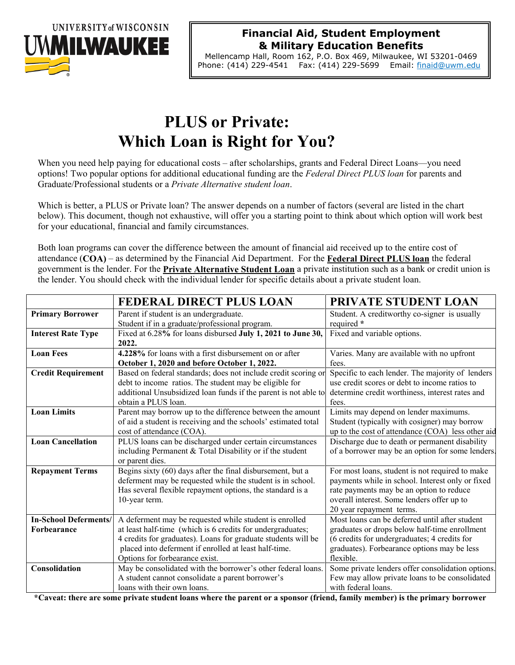

#### **Financial Aid, Student Employment & Military Education Benefits**

Mellencamp Hall, Room 162, P.O. Box 469, Milwaukee, WI 53201-0469 Phone: (414) 229-4541 Fax: (414) 229-5699 Email: finaid@uwm.edu

# **PLUS or Private: Which Loan is Right for You?**

When you need help paying for educational costs – after scholarships, grants and Federal Direct Loans—you need options! Two popular options for additional educational funding are the *Federal Direct PLUS loan* for parents and Graduate/Professional students or a *Private Alternative student loan*.

Which is better, a PLUS or Private loan? The answer depends on a number of factors (several are listed in the chart below). This document, though not exhaustive, will offer you a starting point to think about which option will work best for your educational, financial and family circumstances.

Both loan programs can cover the difference between the amount of financial aid received up to the entire cost of attendance (**COA)** – as determined by the Financial Aid Department. For the **Federal Direct PLUS loan** the federal government is the lender. For the **Private Alternative Student Loan** a private institution such as a bank or credit union is the lender. You should check with the individual lender for specific details about a private student loan.

|                              | <b>FEDERAL DIRECT PLUS LOAN</b>                                 | PRIVATE STUDENT LOAN                              |
|------------------------------|-----------------------------------------------------------------|---------------------------------------------------|
| <b>Primary Borrower</b>      | Parent if student is an undergraduate.                          | Student. A creditworthy co-signer is usually      |
|                              | Student if in a graduate/professional program.                  | required *                                        |
| <b>Interest Rate Type</b>    | Fixed at 6.28% for loans disbursed July 1, 2021 to June 30,     | Fixed and variable options.                       |
|                              | 2022.                                                           |                                                   |
| <b>Loan Fees</b>             | 4.228% for loans with a first disbursement on or after          | Varies. Many are available with no upfront        |
|                              | October 1, 2020 and before October 1, 2022.                     | fees.                                             |
| <b>Credit Requirement</b>    | Based on federal standards; does not include credit scoring or  | Specific to each lender. The majority of lenders  |
|                              | debt to income ratios. The student may be eligible for          | use credit scores or debt to income ratios to     |
|                              | additional Unsubsidized loan funds if the parent is not able to | determine credit worthiness, interest rates and   |
|                              | obtain a PLUS loan.                                             | fees.                                             |
| <b>Loan Limits</b>           | Parent may borrow up to the difference between the amount       | Limits may depend on lender maximums.             |
|                              | of aid a student is receiving and the schools' estimated total  | Student (typically with cosigner) may borrow      |
|                              | cost of attendance (COA).                                       | up to the cost of attendance (COA) less other aid |
| <b>Loan Cancellation</b>     | PLUS loans can be discharged under certain circumstances        | Discharge due to death or permanent disability    |
|                              | including Permanent & Total Disability or if the student        | of a borrower may be an option for some lenders.  |
|                              | or parent dies.                                                 |                                                   |
| <b>Repayment Terms</b>       | Begins sixty (60) days after the final disbursement, but a      | For most loans, student is not required to make   |
|                              | deferment may be requested while the student is in school.      | payments while in school. Interest only or fixed  |
|                              | Has several flexible repayment options, the standard is a       | rate payments may be an option to reduce          |
|                              | 10-year term.                                                   | overall interest. Some lenders offer up to        |
|                              |                                                                 | 20 year repayment terms.                          |
| <b>In-School Deferments/</b> | A deferment may be requested while student is enrolled          | Most loans can be deferred until after student    |
| <b>Forbearance</b>           | at least half-time (which is 6 credits for undergraduates;      | graduates or drops below half-time enrollment     |
|                              | 4 credits for graduates). Loans for graduate students will be   | (6 credits for undergraduates; 4 credits for      |
|                              | placed into deferment if enrolled at least half-time.           | graduates). Forbearance options may be less       |
|                              | Options for forbearance exist.                                  | flexible.                                         |
| Consolidation                | May be consolidated with the borrower's other federal loans.    | Some private lenders offer consolidation options. |
|                              | A student cannot consolidate a parent borrower's                | Few may allow private loans to be consolidated    |
|                              | loans with their own loans.                                     | with federal loans.                               |

**\*Caveat: there are some private student loans where the parent or a sponsor (friend, family member) is the primary borrower**